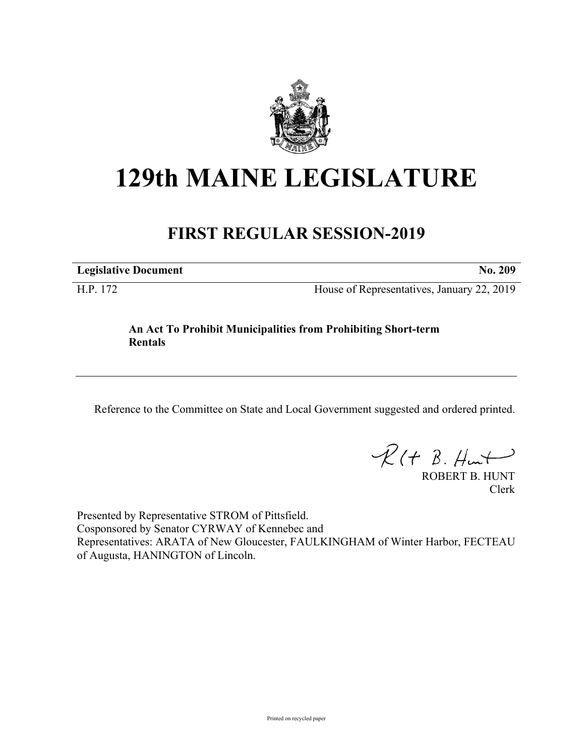

## **129th MAINE LEGISLATURE**

## **FIRST REGULAR SESSION-2019**

**Legislative Document No. 209**

H.P. 172 House of Representatives, January 22, 2019

## **An Act To Prohibit Municipalities from Prohibiting Short-term Rentals**

Reference to the Committee on State and Local Government suggested and ordered printed.

 $R(t B. Hmt)$ 

ROBERT B. HUNT Clerk

Presented by Representative STROM of Pittsfield. Cosponsored by Senator CYRWAY of Kennebec and Representatives: ARATA of New Gloucester, FAULKINGHAM of Winter Harbor, FECTEAU of Augusta, HANINGTON of Lincoln.